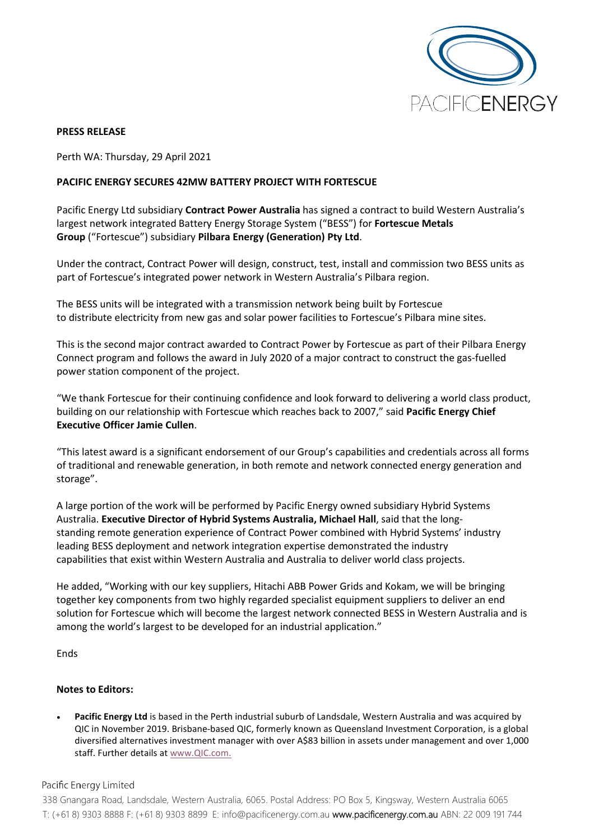

## **PRESS RELEASE**

Perth WA: Thursday, 29 April 2021

## **PACIFIC ENERGY SECURES 42MW BATTERY PROJECT WITH FORTESCUE**

Pacific Energy Ltd subsidiary **Contract Power Australia** has signed a contract to build Western Australia's largest network integrated Battery Energy Storage System ("BESS") for **Fortescue Metals Group** ("Fortescue") subsidiary **Pilbara Energy (Generation) Pty Ltd**.

Under the contract, Contract Power will design, construct, test, install and commission two BESS units as part of Fortescue's integrated power network in Western Australia's Pilbara region.

The BESS units will be integrated with a transmission network being built by Fortescue to distribute electricity from new gas and solar power facilities to Fortescue's Pilbara mine sites.

This is the second major contract awarded to Contract Power by Fortescue as part of their Pilbara Energy Connect program and follows the award in July 2020 of a major contract to construct the gas-fuelled power station component of the project.

"We thank Fortescue for their continuing confidence and look forward to delivering a world class product, building on our relationship with Fortescue which reaches back to 2007," said **Pacific Energy Chief Executive Officer Jamie Cullen**.

"This latest award is a significant endorsement of our Group's capabilities and credentials across all forms of traditional and renewable generation, in both remote and network connected energy generation and storage".

A large portion of the work will be performed by Pacific Energy owned subsidiary Hybrid Systems Australia. **Executive Director of Hybrid Systems Australia, Michael Hall**, said that the longstanding remote generation experience of Contract Power combined with Hybrid Systems' industry leading BESS deployment and network integration expertise demonstrated the industry capabilities that exist within Western Australia and Australia to deliver world class projects.

He added, "Working with our key suppliers, Hitachi ABB Power Grids and Kokam, we will be bringing together key components from two highly regarded specialist equipment suppliers to deliver an end solution for Fortescue which will become the largest network connected BESS in Western Australia and is among the world's largest to be developed for an industrial application."

Ends

## **Notes to Editors:**

• **Pacific Energy Ltd** is based in the Perth industrial suburb of Landsdale, Western Australia and was acquired by QIC in November 2019. Brisbane-based QIC, formerly known as Queensland Investment Corporation, is a global diversified alternatives investment manager with over A\$83 billion in assets under management and over 1,000 staff. Further details at [www.QIC.com.](http://www.qic.com/)

Pacific Energy Limited

338 Gnangara Road, Landsdale, Western Australia, 6065. Postal Address: PO Box 5, Kingsway, Western Australia 6065 T: (+61 8) 9303 8888 F: (+61 8) 9303 8899 E: [info@pacificenergy.com.au](mailto:info@pacificenergy.com.au) www.pacificenergy.com.au ABN: 22 009 191 744